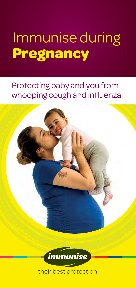# Immunise during **Pregnancy**

Protecting baby and you from whooping cough and influenza

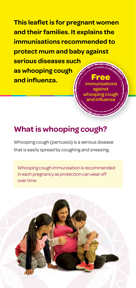**This leaflet is for pregnant women and their families. It explains the immunisations recommended to protect mum and baby against serious diseases s such as whooping cough h**  and influenza. **Free** immunisations

> against whooping cough and influenz

# **What is whooping cough?**

Whooping cough (pertussis) is a serious disease that is easily spread by coughing and sneezing.

Whooping cough immunisation is recommended in each pregnancy as protection can wear off over time

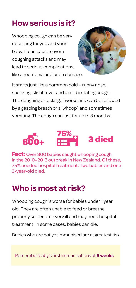# **How serious is it?**

Whooping cough can be very upsetting for you and your baby. It can cause severe coughing attacks and may lead to serious complications, like pneumonia and brain damage.



It starts just like a common cold – runny nose, sneezing, slight fever and a mild irritating cough. The coughing attacks get worse and can be followed by a gasping breath or a 'whoop', and sometimes vomiting. The cough can last for up to 3 months.



**Fact:** Over 800 babies caught whooping cough in the 2010–2013 outbreak in New Zealand. Of these, 75% needed hospital treatment. Two babies and one 3-year-old died.

# **Who is most at risk?**

Whooping cough is worse for babies under 1 year old. They are often unable to feed or breathe properly so become very ill and may need hospital treatment. In some cases, babies can die.

Babies who are not yet immunised are at greatest risk.

Remember baby's first immunisations at 6 weeks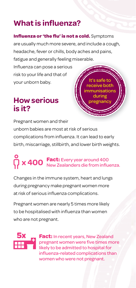# **What is influenza?**

#### **Influenza or 'the flu' is not a cold.** Symptoms

are usually much more severe, and include a cough, headache, fever or chills, body aches and pains,

fatigue and generally feeling miserable. g Influenza can pose a serious risk to your life and that of your unborn baby.

# **How serious is it?**

It's safe to receive both immunisations during pregnanc

Pregnant women and their unborn babies are most at risk of serious complications from influenza. It can lead to early birth, miscarriage, stillbirth, and lower birth weights.

# **P** x 400 **Fact:** Every year around 400 New Zealanders die from influenza.

Changes in the immune system, heart and lungs during pregnancy make pregnant women more at risk of serious influenza complications.

Pregnant women are nearly 5 times more likely to be hospitalised with influenza than women who are not pregnant.



**Fact:** In recent years, New Zealand pregnant women were five times more likely to be admitted to hospital for influenza-related complications than women who were not pregnant.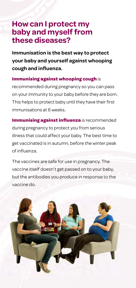## **How can I protect my baby and myself from these diseases?**

**Immunisation is the best way to protect your baby and yourself against whooping cough and infl uenza.**

### **Immunising against whooping cough** is

recommended during pregnancy so you can pass on your immunity to your baby before they are born. This helps to protect baby until they have their first immunisations at 6 weeks.

**Immunising against influenza** is recommended during pregnancy to protect you from serious illness that could affect your baby. The best time to get vaccinated is in autumn, before the winter peak of influenza

The vaccines are safe for use in pregnancy. The vaccine itself doesn't get passed on to your baby, but the antibodies you produce in response to the vaccine do.

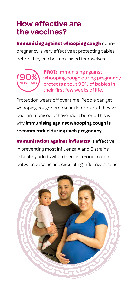# **How effective are the vaccines?**

**Immunising against whooping cough** during pregnancy is very effective at protecting babies before they can be immunised themselves.



**Fact:** Immunising against whooping cough during pregnancy protects about 90% of babies in their first few weeks of life.

Protection wears off over time. People can get whooping cough some years later, even if they've been immunised or have had it before. This is why **immunising against whooping cough is recommended during each pregnancy.**

**Immunisation against influenza** is effective in preventing most influenza A and B strains in healthy adults when there is a good match between vaccine and circulating influenza strains.

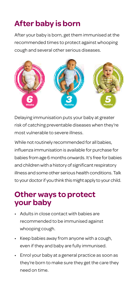# **After baby is born**

After your baby is born, get them immunised at the recommended times to protect against whooping cough and several other serious diseases.



Delaying immunisation puts your baby at greater risk of catching preventable diseases when they're most vulnerable to severe illness.

While not routinely recommended for all babies, influenza immunisation is available for purchase for babies from age 6 months onwards. It's free for babies and children with a history of significant respiratory illness and some other serious health conditions. Talk to your doctor if you think this might apply to your child.

## **Other ways to protect your baby**

- Adults in close contact with babies are recommended to be immunised against whooping cough.
- Keep babies away from anyone with a cough, even if they and baby are fully immunised.
- Enrol your baby at a general practice as soon as they're born to make sure they get the care they need on time.